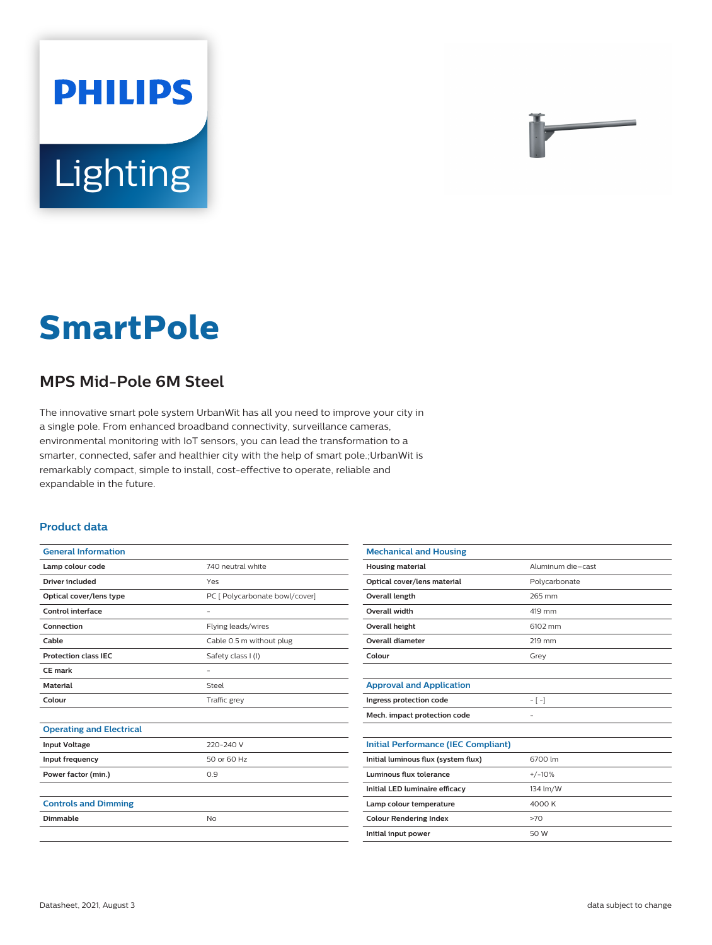# **PHILIPS** Lighting

**SmartPole**

## **MPS Mid-Pole 6M Steel**

The innovative smart pole system UrbanWit has all you need to improve your city in a single pole. From enhanced broadband connectivity, surveillance cameras, environmental monitoring with IoT sensors, you can lead the transformation to a smarter, connected, safer and healthier city with the help of smart pole.;UrbanWit is remarkably compact, simple to install, cost-effective to operate, reliable and expandable in the future.

#### **Product data**

| <b>General Information</b>      |                                |
|---------------------------------|--------------------------------|
| Lamp colour code                | 740 neutral white              |
| Driver included                 | Yes                            |
| Optical cover/lens type         | PC [ Polycarbonate bowl/cover] |
| Control interface               |                                |
| Connection                      | Flying leads/wires             |
| Cable                           | Cable 0.5 m without plug       |
| <b>Protection class IEC</b>     | Safety class I (I)             |
| CE mark                         | -                              |
| <b>Material</b>                 | Steel                          |
| Colour                          | Traffic grey                   |
|                                 |                                |
| <b>Operating and Electrical</b> |                                |
| <b>Input Voltage</b>            | 220-240 V                      |
| Input frequency                 | 50 or 60 Hz                    |
| Power factor (min.)             | 0.9                            |
|                                 |                                |
| <b>Controls and Dimming</b>     |                                |
| Dimmable                        | <b>No</b>                      |
|                                 |                                |

| <b>Mechanical and Housing</b>              |                   |
|--------------------------------------------|-------------------|
| <b>Housing material</b>                    | Aluminum die-cast |
| Optical cover/lens material                | Polycarbonate     |
| <b>Overall length</b>                      | 265 mm            |
| Overall width                              | 419 mm            |
| Overall height                             | 6102 mm           |
| <b>Overall diameter</b>                    | 219 mm            |
| Colour                                     | Grey              |
|                                            |                   |
| <b>Approval and Application</b>            |                   |
| Ingress protection code                    | $-[-]$            |
| Mech. impact protection code               | -                 |
|                                            |                   |
| <b>Initial Performance (IEC Compliant)</b> |                   |
| Initial luminous flux (system flux)        | 6700 lm           |
| Luminous flux tolerance                    | $+/-10%$          |
| Initial LED luminaire efficacy             | 134 lm/W          |
| Lamp colour temperature                    | 4000 K            |
| <b>Colour Rendering Index</b>              | >70               |
| Initial input power                        | 50 W              |
|                                            |                   |